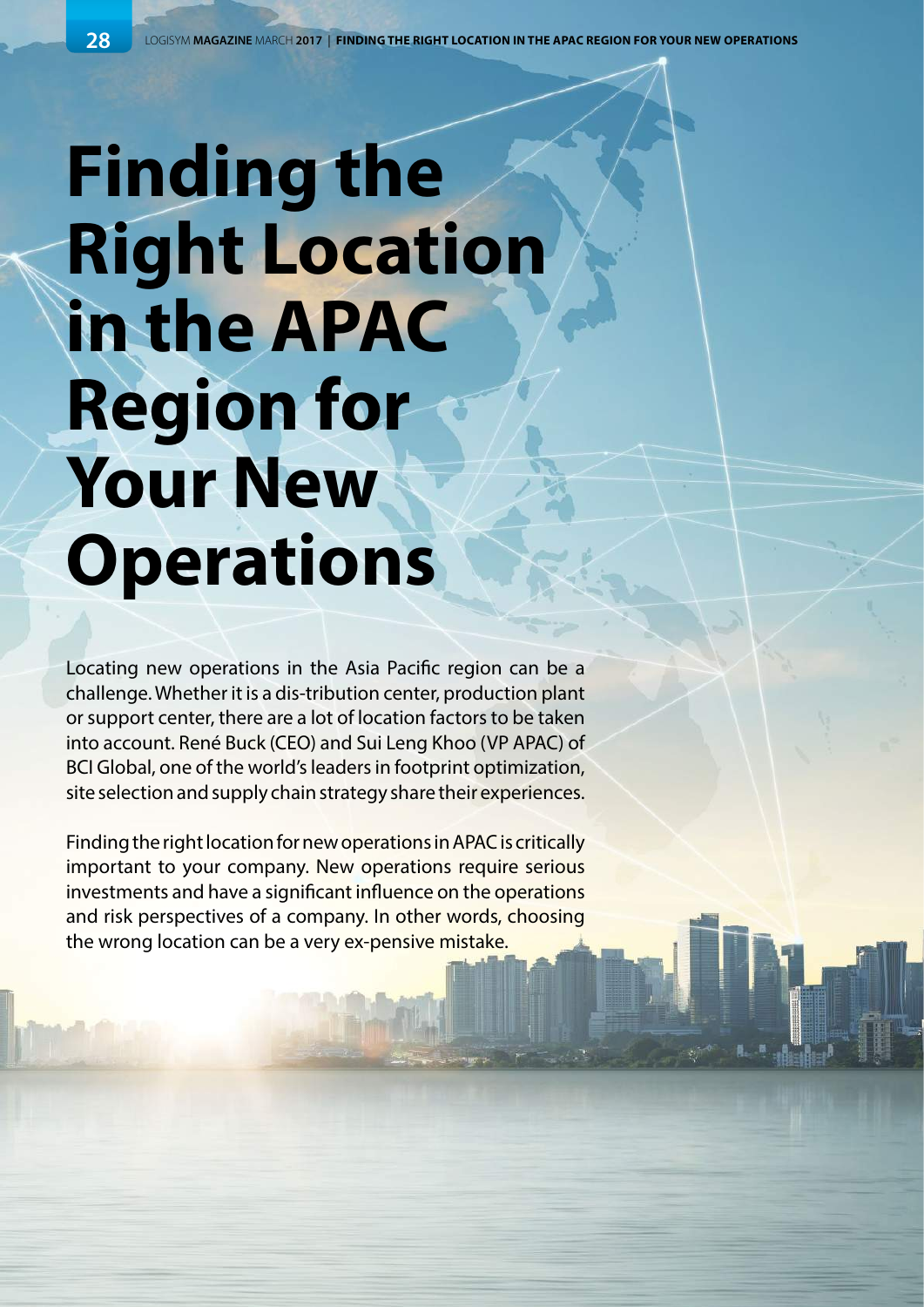## **Finding the Right Location in the APAC Region for Your New Operations**

Locating new operations in the Asia Pacific region can be a challenge. Whether it is a dis-tribution center, production plant or support center, there are a lot of location factors to be taken into account. René Buck (CEO) and Sui Leng Khoo (VP APAC) of BCI Global, one of the world's leaders in footprint optimization, site selection and supply chain strategy share their experiences.

Finding the right location for new operations in APAC is critically important to your company. New operations require serious investments and have a significant influence on the operations and risk perspectives of a company. In other words, choosing the wrong location can be a very ex-pensive mistake.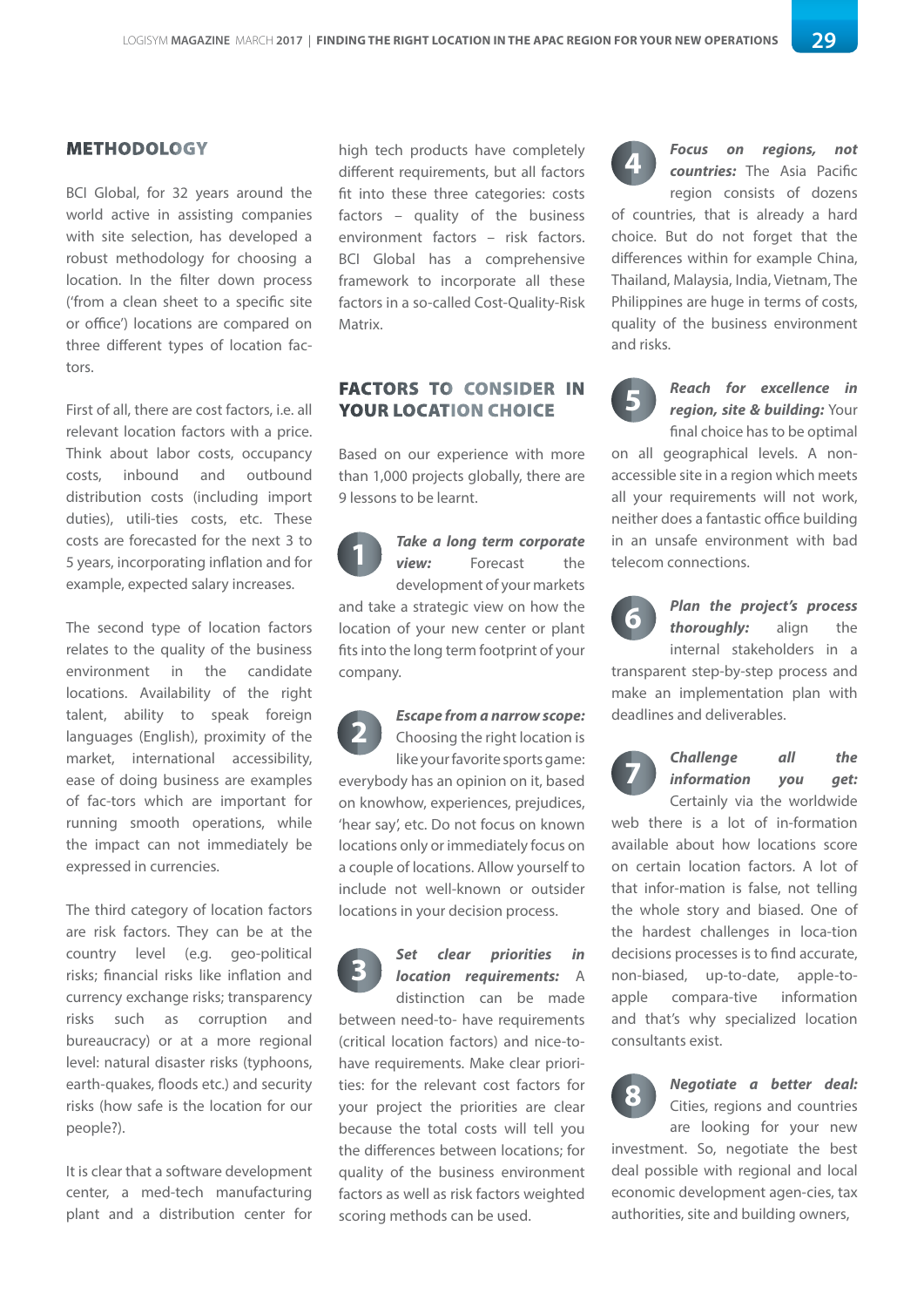## METHODOLOGY

BCI Global, for 32 years around the world active in assisting companies with site selection, has developed a robust methodology for choosing a location. In the filter down process ('from a clean sheet to a specific site or office') locations are compared on three different types of location factors.

First of all, there are cost factors, i.e. all relevant location factors with a price. Think about labor costs, occupancy costs, inbound and outbound distribution costs (including import duties), utili-ties costs, etc. These costs are forecasted for the next 3 to 5 years, incorporating inflation and for example, expected salary increases.

The second type of location factors relates to the quality of the business environment in the candidate locations. Availability of the right talent, ability to speak foreign languages (English), proximity of the market, international accessibility, ease of doing business are examples of fac-tors which are important for running smooth operations, while the impact can not immediately be expressed in currencies.

The third category of location factors are risk factors. They can be at the country level (e.g. geo-political risks; financial risks like inflation and currency exchange risks; transparency risks such as corruption and bureaucracy) or at a more regional level: natural disaster risks (typhoons, earth-quakes, floods etc.) and security risks (how safe is the location for our people?).

It is clear that a software development center, a med-tech manufacturing plant and a distribution center for

high tech products have completely different requirements, but all factors fit into these three categories: costs factors – quality of the business environment factors – risk factors. BCI Global has a comprehensive framework to incorporate all these factors in a so-called Cost-Quality-Risk Matrix.

## FACTORS TO CONSIDER IN YOUR LOCATION CHOICE

Based on our experience with more than 1,000 projects globally, there are 9 lessons to be learnt.

*Take a long term corporate view:* Forecast the development of your markets and take a strategic view on how the location of your new center or plant fits into the long term footprint of your company. **1**

*Escape from a narrow scope:* Choosing the right location is like your favorite sports game: everybody has an opinion on it, based on knowhow, experiences, prejudices, 'hear say', etc. Do not focus on known locations only or immediately focus on a couple of locations. Allow yourself to include not well-known or outsider locations in your decision process. **2**

*Set clear priorities in location requirements:* A distinction can be made between need-to- have requirements (critical location factors) and nice-tohave requirements. Make clear priorities: for the relevant cost factors for your project the priorities are clear because the total costs will tell you the differences between locations; for quality of the business environment factors as well as risk factors weighted scoring methods can be used. **3**



*Focus on regions, not countries:* The Asia Pacific region consists of dozens

of countries, that is already a hard choice. But do not forget that the differences within for example China, Thailand, Malaysia, India, Vietnam, The Philippines are huge in terms of costs, quality of the business environment and risks.



*Reach for excellence in region, site & building:* Your final choice has to be optimal

on all geographical levels. A nonaccessible site in a region which meets all your requirements will not work, neither does a fantastic office building in an unsafe environment with bad telecom connections.



*Plan the project's process thoroughly:* align the internal stakeholders in a

transparent step-by-step process and make an implementation plan with deadlines and deliverables.

*Challenge all the information you get:* Certainly via the worldwide **7**

web there is a lot of in-formation available about how locations score on certain location factors. A lot of that infor-mation is false, not telling the whole story and biased. One of the hardest challenges in loca-tion decisions processes is to find accurate, non-biased, up-to-date, apple-toapple compara-tive information and that's why specialized location consultants exist.



## *Negotiate a better deal:*  Cities, regions and countries

are looking for your new investment. So, negotiate the best deal possible with regional and local economic development agen-cies, tax authorities, site and building owners,